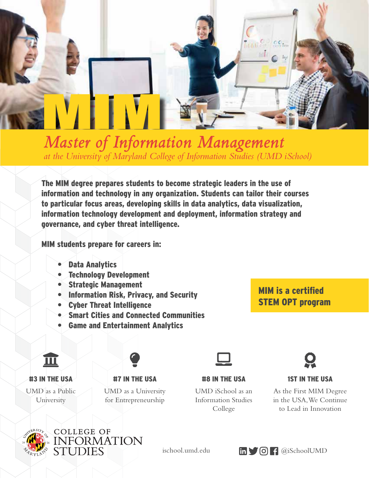

**Master of Information Management** *at the University of Maryland College of Information Studies (UMD iSchool)*

> The MIM degree prepares students to become strategic leaders in the use of information and technology in any organization. Students can tailor their courses to particular focus areas, developing skills in data analytics, data visualization, information technology development and deployment, information strategy and governance, and cyber threat intelligence.

MIM students prepare for careers in:

- Data Analytics
- **Technology Development**
- Strategic Management
- Information Risk, Privacy, and Security
- Cyber Threat Intelligence
- Smart Cities and Connected Communities
- Game and Entertainment Analytics

### MIM is a certified STEM OPT program

 $\mathbb{R}$  is a set in  $\mathbb{R}$  is a set in  $\mathbb{R}$  is a set in  $\mathbb{R}$  is a set in  $\mathbb{R}$ 





UMD as a Public University



#7 IN THE USA

UMD as a University for Entrepreneurship

#### #8 IN THE USA

UMD iSchool as an Information Studies College



### 1ST IN THE USA

As the First MIM Degree in the USA, We Continue to Lead in Innovation



**COLLEGE OF** INFORMATION<br>STUDIES

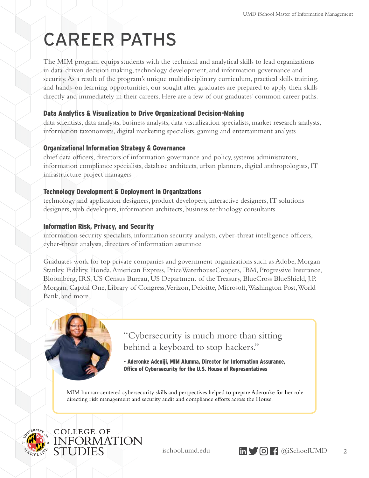# CAREER PATHS

The MIM program equips students with the technical and analytical skills to lead organizations in data-driven decision making, technology development, and information governance and security. As a result of the program's unique multidisciplinary curriculum, practical skills training, and hands-on learning opportunities, our sought after graduates are prepared to apply their skills directly and immediately in their careers. Here are a few of our graduates' common career paths.

#### Data Analytics & Visualization to Drive Organizational Decision-Making

data scientists, data analysts, business analysts, data visualization specialists, market research analysts, information taxonomists, digital marketing specialists, gaming and entertainment analysts

#### Organizational Information Strategy & Governance

chief data officers, directors of information governance and policy, systems administrators, information compliance specialists, database architects, urban planners, digital anthropologists, IT infrastructure project managers

#### Technology Development & Deployment in Organizations

technology and application designers, product developers, interactive designers, IT solutions designers, web developers, information architects, business technology consultants

#### Information Risk, Privacy, and Security

information security specialists, information security analysts, cyber-threat intelligence officers, cyber-threat analysts, directors of information assurance

Graduates work for top private companies and government organizations such as Adobe, Morgan Stanley, Fidelity, Honda, American Express, PriceWaterhouseCoopers, IBM, Progressive Insurance, Bloomberg, IRS, US Census Bureau, US Department of the Treasury, BlueCross BlueShield, J.P. Morgan, Capital One, Library of Congress, Verizon, Deloitte, Microsoft, Washington Post, World Bank, and more.



"Cybersecurity is much more than sitting behind a keyboard to stop hackers."

- Aderonke Adeniji, MIM Alumna, Director for Information Assurance, Office of Cybersecurity for the U.S. House of Representatives

MIM human-centered cybersecurity skills and perspectives helped to prepare Aderonke for her role directing risk management and security audit and compliance efforts across the House.



COLLEGE OF INFORMATION **STUDIES** 

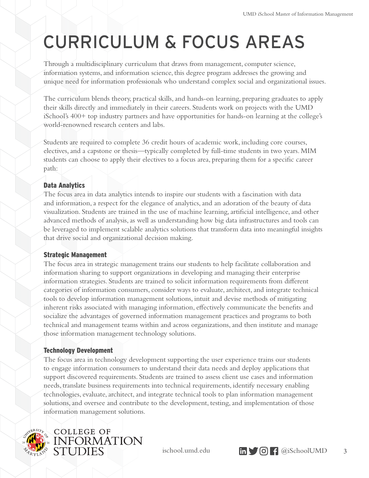### CURRICULUM & FOCUS AREAS

Through a multidisciplinary curriculum that draws from management, computer science, information systems, and information science, this degree program addresses the growing and unique need for information professionals who understand complex social and organizational issues.

The curriculum blends theory, practical skills, and hands-on learning, preparing graduates to apply their skills directly and immediately in their careers. Students work on projects with the UMD iSchool's 400+ top industry partners and have opportunities for hands-on learning at the college's world-renowned research centers and labs.

Students are required to complete 36 credit hours of academic work, including core courses, electives, and a capstone or thesis—typically completed by full-time students in two years. MIM students can choose to apply their electives to a focus area, preparing them for a specific career path:

#### Data Analytics

The focus area in data analytics intends to inspire our students with a fascination with data and information, a respect for the elegance of analytics, and an adoration of the beauty of data visualization. Students are trained in the use of machine learning, artificial intelligence, and other advanced methods of analysis, as well as understanding how big data infrastructures and tools can be leveraged to implement scalable analytics solutions that transform data into meaningful insights that drive social and organizational decision making.

#### Strategic Management

The focus area in strategic management trains our students to help facilitate collaboration and information sharing to support organizations in developing and managing their enterprise information strategies. Students are trained to solicit information requirements from different categories of information consumers, consider ways to evaluate, architect, and integrate technical tools to develop information management solutions, intuit and devise methods of mitigating inherent risks associated with managing information, effectively communicate the benefits and socialize the advantages of governed information management practices and programs to both technical and management teams within and across organizations, and then institute and manage those information management technology solutions.

#### Technology Development

The focus area in technology development supporting the user experience trains our students to engage information consumers to understand their data needs and deploy applications that support discovered requirements. Students are trained to assess client use cases and information needs, translate business requirements into technical requirements, identify necessary enabling technologies, evaluate, architect, and integrate technical tools to plan information management solutions, and oversee and contribute to the development, testing, and implementation of those information management solutions.



**COLLEGE OF** INFORMATION **STUDIES** 

ischool.umd.edu  $\text{in} \bullet \bullet$   $\text{on} \bullet$   $\text{a}$  iSchoolUMD

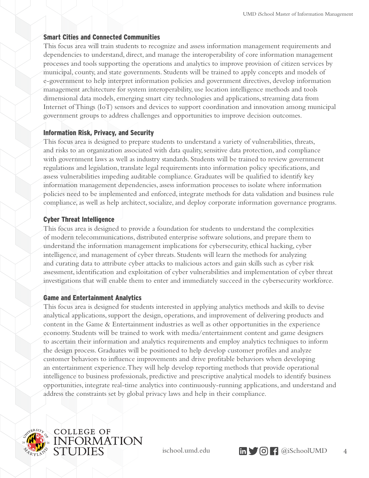#### Smart Cities and Connected Communities

This focus area will train students to recognize and assess information management requirements and dependencies to understand, direct, and manage the interoperability of core information management processes and tools supporting the operations and analytics to improve provision of citizen services by municipal, county, and state governments. Students will be trained to apply concepts and models of e-government to help interpret information policies and government directives, develop information management architecture for system interoperability, use location intelligence methods and tools dimensional data models, emerging smart city technologies and applications, streaming data from Internet of Things (IoT) sensors and devices to support coordination and innovation among municipal government groups to address challenges and opportunities to improve decision outcomes.

#### Information Risk, Privacy, and Security

This focus area is designed to prepare students to understand a variety of vulnerabilities, threats, and risks to an organization associated with data quality, sensitive data protection, and compliance with government laws as well as industry standards. Students will be trained to review government regulations and legislation, translate legal requirements into information policy specifications, and assess vulnerabilities impeding auditable compliance. Graduates will be qualified to identify key information management dependencies, assess information processes to isolate where information policies need to be implemented and enforced, integrate methods for data validation and business rule compliance, as well as help architect, socialize, and deploy corporate information governance programs.

#### Cyber Threat Intelligence

This focus area is designed to provide a foundation for students to understand the complexities of modern telecommunications, distributed enterprise software solutions, and prepare them to understand the information management implications for cybersecurity, ethical hacking, cyber intelligence, and management of cyber threats. Students will learn the methods for analyzing and curating data to attribute cyber attacks to malicious actors and gain skills such as cyber risk assessment, identification and exploitation of cyber vulnerabilities and implementation of cyber threat investigations that will enable them to enter and immediately succeed in the cybersecurity workforce.

#### Game and Entertainment Analytics

This focus area is designed for students interested in applying analytics methods and skills to devise analytical applications, support the design, operations, and improvement of delivering products and content in the Game & Entertainment industries as well as other opportunities in the experience economy. Students will be trained to work with media/entertainment content and game designers to ascertain their information and analytics requirements and employ analytics techniques to inform the design process. Graduates will be positioned to help develop customer profiles and analyze customer behaviors to influence improvements and drive profitable behaviors when developing an entertainment experience. They will help develop reporting methods that provide operational intelligence to business professionals, predictive and prescriptive analytical models to identify business opportunities, integrate real-time analytics into continuously-running applications, and understand and address the constraints set by global privacy laws and help in their compliance.



**COLLEGE OF INFORMATION** STUDIES

ischool.umd.edu  $\text{in} \quad \text{S}$  (C)  $\text{f}$  @iSchoolUMD

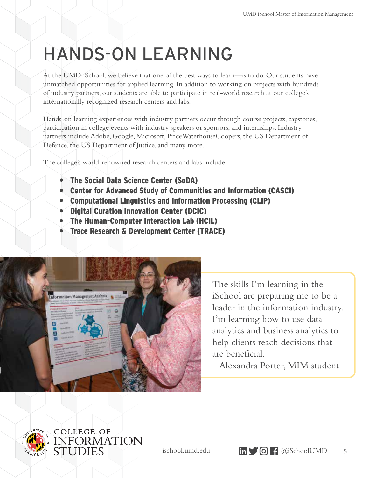## HANDS-ON LEARNING

At the UMD iSchool, we believe that one of the best ways to learn—is to do. Our students have unmatched opportunities for applied learning. In addition to working on projects with hundreds of industry partners, our students are able to participate in real-world research at our college's internationally recognized research centers and labs.

Hands-on learning experiences with industry partners occur through course projects, capstones, participation in college events with industry speakers or sponsors, and internships. Industry partners include Adobe, Google, Microsoft, PriceWaterhouseCoopers, the US Department of Defence, the US Department of Justice, and many more.

The college's world-renowned research centers and labs include:

- The Social Data Science Center (SoDA)
- Center for Advanced Study of Communities and Information (CASCI)
- Computational Linguistics and Information Processing (CLIP)
- Digital Curation Innovation Center (DCIC)
- The Human-Computer Interaction Lab (HCIL)
- Trace Research & Development Center (TRACE)



The skills I'm learning in the iSchool are preparing me to be a leader in the information industry. I'm learning how to use data analytics and business analytics to help clients reach decisions that are beneficial.

– Alexandra Porter, MIM student



**COLLEGE OF INFORMATION STUDIES** 



ischool.umd.edu **in 6 (G)** [ @iSchoolUMD 5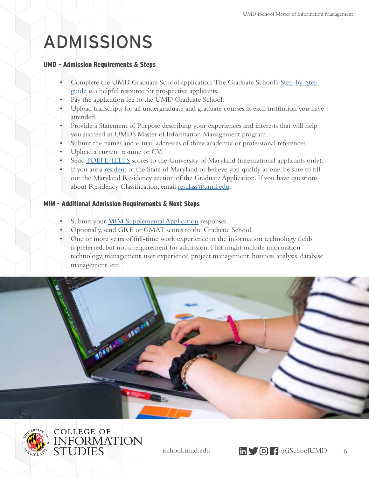### ADMISSIONS

#### UMD - Admission Requirements & Steps

- Complete the UMD Graduate School application. The Graduate School's Step-by-Step [guide](https://gradschool.umd.edu/admissions/application-process/step-step-guide-applying) is a helpful resource for prospective applicants.
- Pay the application fee to the UMD Graduate School.
- Upload transcripts for all undergraduate and graduate courses at each institution you have attended.
- Provide a Statement of Purpose describing your experiences and interests that will help you succeed in UMD's Master of Information Management program.
- Submit the names and e-mail addresses of three academic or professional references.
- Upload a current resume or CV.
- Send **TOEFL/IELTS** scores to the University of Maryland (international applicants only).
- If you are a [resident](http://registrar.umd.edu/resreclass.html) of the State of Maryland or believe you qualify as one, be sure to fill out the Maryland Residency section of the Graduate Application. If you have questions about Residency Classification, email [resclass@umd.edu.](mailto:resclass%40umd.edu?subject=)

#### MIM - Additional Admission Requirements & Next Steps

- Submit your **MIM Supplemental Application** responses.
- Optionally, send GRE or GMAT scores to the Graduate School.
- One or more years of full-time work experience in the information technology fields is preferred, but not a requirement for admission. That might include information technology, management, user experience, project management, business analysis, database management, etc.





COLLEGE OF<br>INFORMATION<br>STUDIES

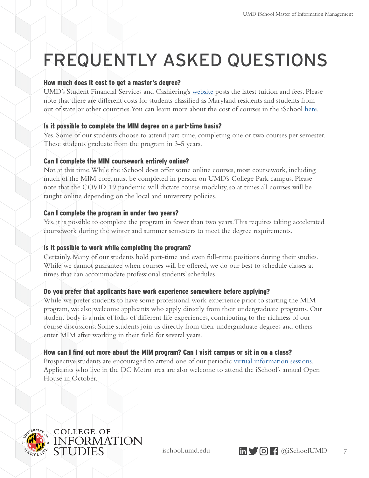## FREQUENTLY ASKED QUESTIONS

#### How much does it cost to get a master's degree?

UMD's Student Financial Services and Cashiering's [website](https://billpay.umd.edu/costs) posts the latest tuition and fees. Please note that there are different costs for students classified as Maryland residents and students from out of state or other countries. You can learn more about the cost of courses in the iSchool [here.](https://ischool.umd.edu/academics/tuition-fees-graduate)

#### Is it possible to complete the MIM degree on a part-time basis?

Yes. Some of our students choose to attend part-time, completing one or two courses per semester. These students graduate from the program in 3-5 years.

#### Can I complete the MIM coursework entirely online?

Not at this time. While the iSchool does offer some online courses, most coursework, including much of the MIM core, must be completed in person on UMD's College Park campus. Please note that the COVID-19 pandemic will dictate course modality, so at times all courses will be taught online depending on the local and university policies.

#### Can I complete the program in under two years?

Yes, it is possible to complete the program in fewer than two years. This requires taking accelerated coursework during the winter and summer semesters to meet the degree requirements.

#### Is it possible to work while completing the program?

Certainly. Many of our students hold part-time and even full-time positions during their studies. While we cannot guarantee when courses will be offered, we do our best to schedule classes at times that can accommodate professional students' schedules.

#### Do you prefer that applicants have work experience somewhere before applying?

While we prefer students to have some professional work experience prior to starting the MIM program, we also welcome applicants who apply directly from their undergraduate programs. Our student body is a mix of folks of different life experiences, contributing to the richness of our course discussions. Some students join us directly from their undergraduate degrees and others enter MIM after working in their field for several years.

#### How can I find out more about the MIM program? Can I visit campus or sit in on a class?

Prospective students are encouraged to attend one of our periodic [virtual information sessions](https://ischool.umd.edu/academics/virtual-info-sessions). Applicants who live in the DC Metro area are also welcome to attend the iSchool's annual Open House in October.



**COLLEGE OF** INFORMATION<br>STUDIES

ischool.umd.edu  $\text{in} \bullet \bullet$   $\text{on} \bullet$   $\text{a}$  iSchoolUMD